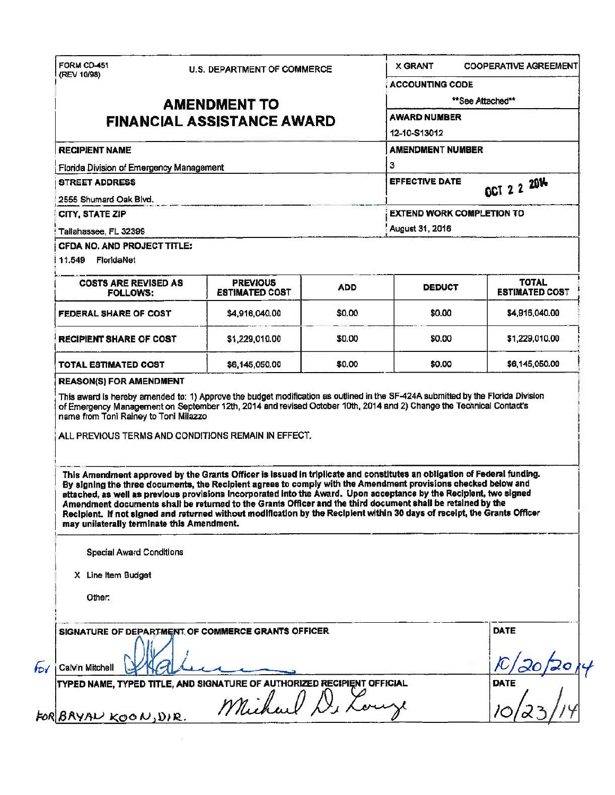| (REV 10/98)<br><b>RECIPIENT NAME</b><br>Florida Division of Emergency Management<br><b>STREET ADDRESS</b><br>2555 Shumard Oak Blvd.<br>CITY, STATE ZIP                                                                                                                                                                                                                                                                                                                                                                                                                                                                                                             | <b>AMENDMENT TO</b><br><b>FINANCIAL ASSISTANCE AWARD</b> |            | <b>ACCOUNTING CODE</b><br><b>AWARD NUMBER</b><br>12-10-S13012                                                                | **See Attached**               |  |
|--------------------------------------------------------------------------------------------------------------------------------------------------------------------------------------------------------------------------------------------------------------------------------------------------------------------------------------------------------------------------------------------------------------------------------------------------------------------------------------------------------------------------------------------------------------------------------------------------------------------------------------------------------------------|----------------------------------------------------------|------------|------------------------------------------------------------------------------------------------------------------------------|--------------------------------|--|
|                                                                                                                                                                                                                                                                                                                                                                                                                                                                                                                                                                                                                                                                    |                                                          |            |                                                                                                                              |                                |  |
|                                                                                                                                                                                                                                                                                                                                                                                                                                                                                                                                                                                                                                                                    |                                                          |            |                                                                                                                              |                                |  |
|                                                                                                                                                                                                                                                                                                                                                                                                                                                                                                                                                                                                                                                                    |                                                          |            |                                                                                                                              |                                |  |
|                                                                                                                                                                                                                                                                                                                                                                                                                                                                                                                                                                                                                                                                    |                                                          |            |                                                                                                                              |                                |  |
|                                                                                                                                                                                                                                                                                                                                                                                                                                                                                                                                                                                                                                                                    |                                                          |            | <b>AMENDMENT NUMBER</b><br>3<br><b>EFFECTIVE DATE</b><br>OCT 2 2 2014<br><b>EXTEND WORK COMPLETION TO</b><br>August 31, 2016 |                                |  |
|                                                                                                                                                                                                                                                                                                                                                                                                                                                                                                                                                                                                                                                                    |                                                          |            |                                                                                                                              |                                |  |
|                                                                                                                                                                                                                                                                                                                                                                                                                                                                                                                                                                                                                                                                    |                                                          |            |                                                                                                                              |                                |  |
|                                                                                                                                                                                                                                                                                                                                                                                                                                                                                                                                                                                                                                                                    |                                                          |            |                                                                                                                              |                                |  |
|                                                                                                                                                                                                                                                                                                                                                                                                                                                                                                                                                                                                                                                                    |                                                          |            |                                                                                                                              |                                |  |
| Tallahassee, FL 32399                                                                                                                                                                                                                                                                                                                                                                                                                                                                                                                                                                                                                                              |                                                          |            |                                                                                                                              |                                |  |
| CFDA NO. AND PROJECT TITLE:<br>11,549 FloridaNet                                                                                                                                                                                                                                                                                                                                                                                                                                                                                                                                                                                                                   |                                                          |            |                                                                                                                              |                                |  |
| <b>COSTS ARE REVISED AS</b><br><b>FOLLOWS:</b>                                                                                                                                                                                                                                                                                                                                                                                                                                                                                                                                                                                                                     | <b>PREVIOUS</b><br><b>ESTIMATED COST</b>                 | <b>ADD</b> | <b>DEDUCT</b>                                                                                                                | TOTAL<br><b>ESTIMATED COST</b> |  |
| FEDERAL SHARE OF COST                                                                                                                                                                                                                                                                                                                                                                                                                                                                                                                                                                                                                                              | \$4,916,040,00                                           | \$0.00     | \$0.00                                                                                                                       | \$4,916,040.00                 |  |
| <b>RECIPIENT SHARE OF COST</b>                                                                                                                                                                                                                                                                                                                                                                                                                                                                                                                                                                                                                                     | \$1,229,010.00                                           | \$0.00     | \$0.00                                                                                                                       | \$1,229,010.00                 |  |
| TOTAL ESTIMATED COST                                                                                                                                                                                                                                                                                                                                                                                                                                                                                                                                                                                                                                               | \$6,145,050.00                                           | \$0.00     | \$0.00                                                                                                                       | \$6,145,050.00                 |  |
| ALL PREVIOUS TERMS AND CONDITIONS REMAIN IN EFFECT.<br>This Amendment approved by the Grants Officer is issued in triplicate and constitutes an obligation of Federal funding.<br>By signing the three documents, the Recipient agrees to comply with the Amendment provisions checked below and<br>attached, as well as previous provisions incorporated into the Award. Upon acceptance by the Recipient, two signed<br>Amendment documents shall be returned to the Grants Officer and the third document shall be retained by the<br>Recipient. If not signed and returned without modification by the Recipient within 30 days of receipt, the Grants Officer |                                                          |            |                                                                                                                              |                                |  |
| may unilaterally terminate this Amendment.<br>Special Award Conditions                                                                                                                                                                                                                                                                                                                                                                                                                                                                                                                                                                                             |                                                          |            |                                                                                                                              |                                |  |
| X Line Item Budget                                                                                                                                                                                                                                                                                                                                                                                                                                                                                                                                                                                                                                                 |                                                          |            |                                                                                                                              |                                |  |
| Other:                                                                                                                                                                                                                                                                                                                                                                                                                                                                                                                                                                                                                                                             |                                                          |            |                                                                                                                              |                                |  |
| SIGNATURE OF DEPARTMENT OF COMMERCE GRANTS OFFICER                                                                                                                                                                                                                                                                                                                                                                                                                                                                                                                                                                                                                 |                                                          |            |                                                                                                                              | DATE                           |  |
| Calvin Mitchell                                                                                                                                                                                                                                                                                                                                                                                                                                                                                                                                                                                                                                                    |                                                          |            |                                                                                                                              |                                |  |
| TYPED NAME, TYPED TITLE, AND SIGNATURE OF AUTHORIZED RECIPIENT OFFICIAL                                                                                                                                                                                                                                                                                                                                                                                                                                                                                                                                                                                            | Michael D. L.                                            |            |                                                                                                                              | <b>DATE</b>                    |  |